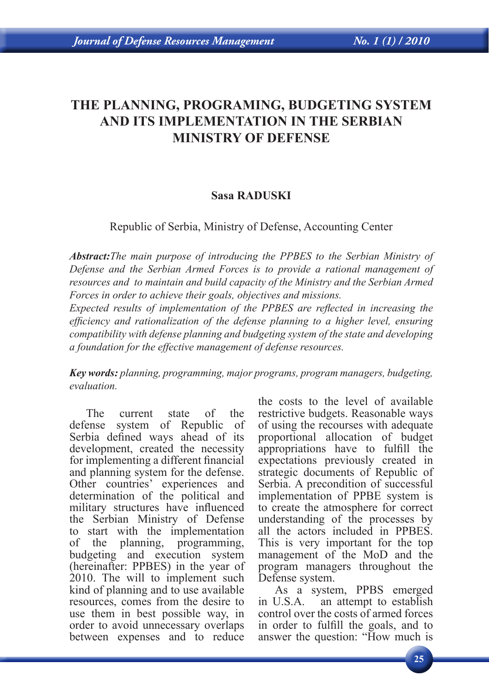# **THE PLANNING, PROGRAMING, BUDGETING SYSTEM AND ITS IMPLEMENTATION IN THE SERBIAN MINISTRY OF DEFENSE**

## **Sasa RADUSKI**

Republic of Serbia, Ministry of Defense, Accounting Center

*Abstract:The main purpose of introducing the PPBES to the Serbian Ministry of Defense and the Serbian Armed Forces is to provide a rational management of resources and to maintain and build capacity of the Ministry and the Serbian Armed Forces in order to achieve their goals, objectives and missions.*

*Expected results of implementation of the PPBES are reflected in increasing the efficiency and rationalization of the defense planning to a higher level, ensuring compatibility with defense planning and budgeting system of the state and developing a foundation for the effective management of defense resources.* 

*Key words: planning, programming, major programs, program managers, budgeting, evaluation.*

The current state of the defense system of Republic of Serbia defined ways ahead of its development, created the necessity for implementing a different financial and planning system for the defense. Other countries' experiences and determination of the political and military structures have influenced the Serbian Ministry of Defense to start with the implementation of the planning, programming, budgeting and execution system (hereinafter: PPBES) in the year of 2010. The will to implement such kind of planning and to use available resources, comes from the desire to use them in best possible way, in order to avoid unnecessary overlaps between expenses and to reduce

the costs to the level of available restrictive budgets. Reasonable ways of using the recourses with adequate proportional allocation of budget appropriations have to fulfill the expectations previously created in strategic documents of Republic of Serbia. A precondition of successful implementation of PPBE system is to create the atmosphere for correct understanding of the processes by all the actors included in PPBES. This is very important for the top management of the MoD and the program managers throughout the Defense system.

As a system, PPBS emerged in U.S.A. an attempt to establish control over the costs of armed forces in order to fulfill the goals, and to answer the question: "How much is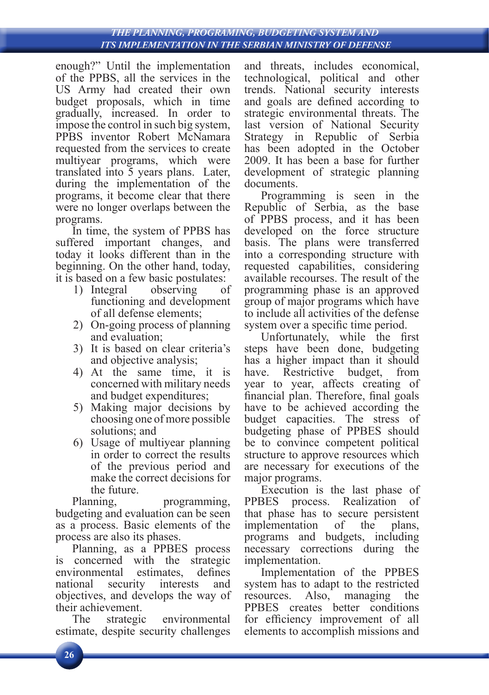#### *THE PLANNING, PROGRAMING, BUDGETING SYSTEM AND ITS IMPLEMENTATION IN THE SERBIAN MINISTRY OF DEFENSE*

enough?" Until the implementation of the PPBS, all the services in the US Army had created their own budget proposals, which in time gradually, increased. In order to impose the control in such big system, PPBS inventor Robert McNamara requested from the services to create multiyear programs, which were translated into 5 years plans. Later, during the implementation of the programs, it become clear that there were no longer overlaps between the programs.

In time, the system of PPBS has suffered important changes, and today it looks different than in the beginning. On the other hand, today, it is based on a few basic postulates:

- 1) Integral observing of functioning and development of all defense elements;
- 2) On-going process of planning and evaluation;
- 3) It is based on clear criteria's and objective analysis;
- 4) At the same time, it is concerned with military needs and budget expenditures;
- 5) Making major decisions by choosing one of more possible solutions; and
- 6) Usage of multiyear planning in order to correct the results of the previous period and make the correct decisions for the future.

Planning, programming, budgeting and evaluation can be seen as a process. Basic elements of the process are also its phases.

Planning, as a PPBES process is concerned with the strategic environmental estimates, defines national security interests and objectives, and develops the way of their achievement.

The strategic environmental estimate, despite security challenges and threats, includes economical, technological, political and other trends. National security interests and goals are defined according to strategic environmental threats. The last version of National Security Strategy in Republic of Serbia has been adopted in the October 2009. It has been a base for further development of strategic planning documents.

Programming is seen in the Republic of Serbia, as the base of PPBS process, and it has been developed on the force structure basis. The plans were transferred into a corresponding structure with requested capabilities, considering available recourses. The result of the programming phase is an approved group of major programs which have to include all activities of the defense system over a specific time period.

Unfortunately, while the first steps have been done, budgeting has a higher impact than it should have. Restrictive budget, from year to year, affects creating of financial plan. Therefore, final goals have to be achieved according the budget capacities. The stress of budgeting phase of PPBES should be to convince competent political structure to approve resources which are necessary for executions of the major programs.

Execution is the last phase of PPBES process. Realization of that phase has to secure persistent implementation of the plans, programs and budgets, including necessary corrections during the implementation.

Implementation of the PPBES system has to adapt to the restricted resources. Also, managing the PPBES creates better conditions for efficiency improvement of all elements to accomplish missions and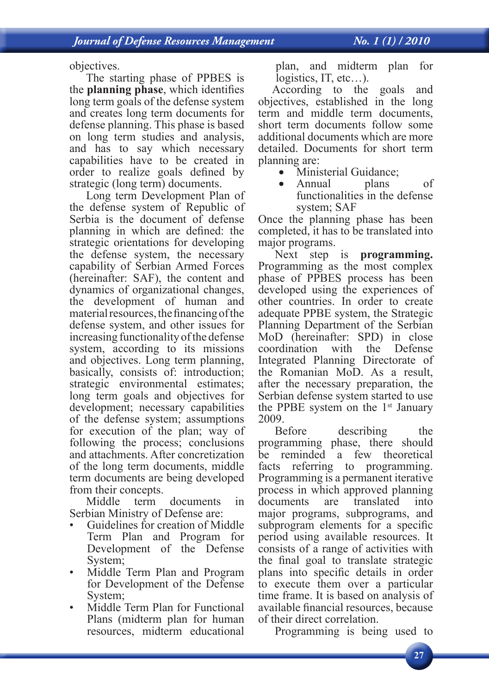objectives.

The starting phase of PPBES is the **planning phase**, which identifies long term goals of the defense system and creates long term documents for defense planning. This phase is based on long term studies and analysis, and has to say which necessary capabilities have to be created in order to realize goals defined by strategic (long term) documents.

Long term Development Plan of the defense system of Republic of Serbia is the document of defense planning in which are defined: the strategic orientations for developing the defense system, the necessary capability of Serbian Armed Forces (hereinafter: SAF), the content and dynamics of organizational changes, the development of human and material resources, the financing of the defense system, and other issues for increasing functionality of the defense system, according to its missions and objectives. Long term planning, basically, consists of: introduction; strategic environmental estimates; long term goals and objectives for development; necessary capabilities of the defense system; assumptions for execution of the plan; way of following the process; conclusions and attachments. After concretization of the long term documents, middle term documents are being developed from their concepts.<br>Middle term

term documents in Serbian Ministry of Defense are:

- Guidelines for creation of Middle Term Plan and Program for Development of the Defense System;
- Middle Term Plan and Program for Development of the Defense System;
- Middle Term Plan for Functional Plans (midterm plan for human resources, midterm educational

plan, and midterm plan for logistics, IT, etc…).

According to the goals and objectives, established in the long term and middle term documents, short term documents follow some additional documents which are more detailed. Documents for short term planning are:

• Ministerial Guidance;

Annual plans of functionalities in the defense system; SAF

Once the planning phase has been completed, it has to be translated into major programs.

Next step is **programming.**  Programming as the most complex phase of PPBES process has been developed using the experiences of other countries. In order to create adequate PPBE system, the Strategic Planning Department of the Serbian MoD (hereinafter: SPD) in close coordination with the Defense Integrated Planning Directorate of the Romanian MoD. As a result, after the necessary preparation, the Serbian defense system started to use the PPBE system on the  $1<sup>st</sup>$  January

2009.<br>Before describing the programming phase, there should be reminded a few theoretical facts referring to programming. Programming is a permanent iterative process in which approved planning documents are translated into major programs, subprograms, and subprogram elements for a specific period using available resources. It consists of a range of activities with the final goal to translate strategic plans into specific details in order to execute them over a particular time frame. It is based on analysis of available financial resources, because of their direct correlation.

Programming is being used to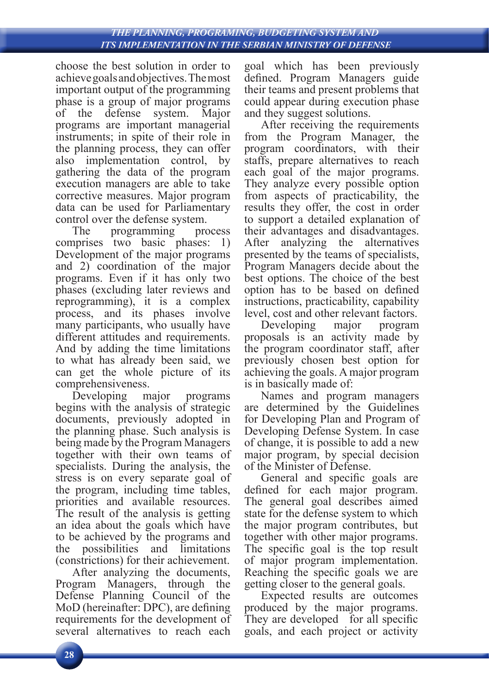#### *THE PLANNING, PROGRAMING, BUDGETING SYSTEM AND ITS IMPLEMENTATION IN THE SERBIAN MINISTRY OF DEFENSE*

choose the best solution in order to achieve goals and objectives. The most important output of the programming phase is a group of major programs<br>of the defense system. Major of the defense system. Major programs are important managerial instruments; in spite of their role in the planning process, they can offer also implementation control, by gathering the data of the program execution managers are able to take corrective measures. Major program data can be used for Parliamentary control over the defense system.<br>The <u>programming</u> pro

programming process comprises two basic phases: 1) Development of the major programs and 2) coordination of the major programs. Even if it has only two phases (excluding later reviews and reprogramming), it is a complex process, and its phases involve many participants, who usually have different attitudes and requirements. And by adding the time limitations to what has already been said, we can get the whole picture of its comprehensiveness.

Developing major programs begins with the analysis of strategic documents, previously adopted in the planning phase. Such analysis is being made by the Program Managers together with their own teams of specialists. During the analysis, the stress is on every separate goal of the program, including time tables, priorities and available resources. The result of the analysis is getting an idea about the goals which have to be achieved by the programs and the possibilities and limitations (constrictions) for their achievement.

After analyzing the documents, Program Managers, through the Defense Planning Council of the MoD (hereinafter: DPC), are defining requirements for the development of several alternatives to reach each

goal which has been previously defined. Program Managers guide their teams and present problems that could appear during execution phase and they suggest solutions.

After receiving the requirements from the Program Manager, the program coordinators, with their staffs, prepare alternatives to reach each goal of the major programs. They analyze every possible option from aspects of practicability, the results they offer, the cost in order to support a detailed explanation of their advantages and disadvantages. After analyzing the alternatives presented by the teams of specialists, Program Managers decide about the best options. The choice of the best option has to be based on defined instructions, practicability, capability level, cost and other relevant factors.

Developing major program proposals is an activity made by the program coordinator staff, after previously chosen best option for achieving the goals. A major program is in basically made of:

Names and program managers are determined by the Guidelines for Developing Plan and Program of Developing Defense System. In case of change, it is possible to add a new major program, by special decision of the Minister of Defense.

General and specific goals are defined for each major program. The general goal describes aimed state for the defense system to which the major program contributes, but together with other major programs. The specific goal is the top result of major program implementation. Reaching the specific goals we are getting closer to the general goals.

Expected results are outcomes produced by the major programs. They are developed for all specific goals, and each project or activity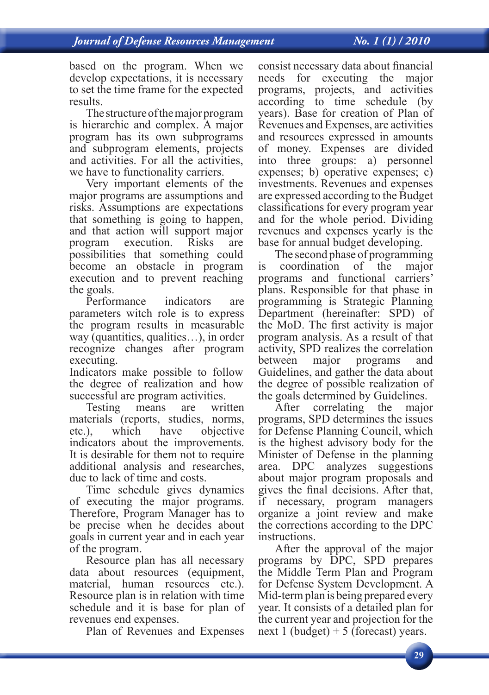based on the program. When we develop expectations, it is necessary to set the time frame for the expected results.

The structure of the major program is hierarchic and complex. A major program has its own subprograms and subprogram elements, projects and activities. For all the activities, we have to functionality carriers.

Very important elements of the major programs are assumptions and risks. Assumptions are expectations that something is going to happen, and that action will support major program execution. Risks are possibilities that something could become an obstacle in program execution and to prevent reaching the goals.

Performance indicators are parameters witch role is to express the program results in measurable way (quantities, qualities…), in order recognize changes after program executing.

Indicators make possible to follow the degree of realization and how successful are program activities.

Testing means are written materials (reports, studies, norms, etc.), which have objective indicators about the improvements. It is desirable for them not to require additional analysis and researches, due to lack of time and costs.

Time schedule gives dynamics of executing the major programs. Therefore, Program Manager has to be precise when he decides about goals in current year and in each year of the program.

Resource plan has all necessary data about resources (equipment, material, human resources etc.). Resource plan is in relation with time schedule and it is base for plan of revenues end expenses.

Plan of Revenues and Expenses

consist necessary data about financial needs for executing the major programs, projects, and activities according to time schedule (by years). Base for creation of Plan of Revenues and Expenses, are activities and resources expressed in amounts of money. Expenses are divided into three groups: a) personnel expenses; b) operative expenses; c) investments. Revenues and expenses are expressed according to the Budget classifications for every program year and for the whole period. Dividing revenues and expenses yearly is the base for annual budget developing.

The second phase of programming is coordination of the major programs and functional carriers' plans. Responsible for that phase in programming is Strategic Planning Department (hereinafter: SPD) of the MoD. The first activity is major program analysis. As a result of that activity, SPD realizes the correlation between major programs and Guidelines, and gather the data about the degree of possible realization of the goals determined by Guidelines.

After correlating the major programs, SPD determines the issues for Defense Planning Council, which is the highest advisory body for the Minister of Defense in the planning area. DPC analyzes suggestions about major program proposals and gives the final decisions. After that, if necessary, program managers organize a joint review and make the corrections according to the DPC instructions.

After the approval of the major programs by DPC, SPD prepares the Middle Term Plan and Program for Defense System Development. A Mid-term plan is being prepared every year. It consists of a detailed plan for the current year and projection for the next 1 (budget)  $+ 5$  (forecast) years.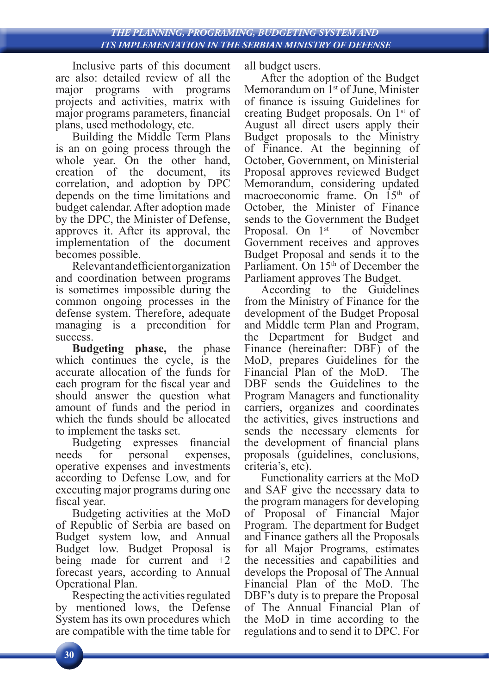Inclusive parts of this document are also: detailed review of all the major programs with programs projects and activities, matrix with major programs parameters, financial plans, used methodology, etc.

Building the Middle Term Plans is an on going process through the whole year. On the other hand, creation of the document, its correlation, and adoption by DPC depends on the time limitations and budget calendar. After adoption made by the DPC, the Minister of Defense, approves it. After its approval, the implementation of the document becomes possible.

Relevant and efficient organization and coordination between programs is sometimes impossible during the common ongoing processes in the defense system. Therefore, adequate managing is a precondition for success.

**Budgeting phase,** the phase which continues the cycle, is the accurate allocation of the funds for each program for the fiscal year and should answer the question what amount of funds and the period in which the funds should be allocated

to implement the tasks set.<br>Budgeting expresses Budgeting expresses financial needs for personal expenses, operative expenses and investments according to Defense Low, and for executing major programs during one fiscal year.

Budgeting activities at the MoD of Republic of Serbia are based on Budget system low, and Annual Budget low. Budget Proposal is being made for current and +2 forecast years, according to Annual Operational Plan.

Respecting the activities regulated by mentioned lows, the Defense System has its own procedures which are compatible with the time table for all budget users.

After the adoption of the Budget Memorandum on 1<sup>st</sup> of June, Minister of finance is issuing Guidelines for creating Budget proposals. On 1st of August all direct users apply their Budget proposals to the Ministry of Finance. At the beginning of October, Government, on Ministerial Proposal approves reviewed Budget Memorandum, considering updated macroeconomic frame. On 15<sup>th</sup> of October, the Minister of Finance sends to the Government the Budget<br>Proposal. On 1<sup>st</sup> of November Proposal. On  $1<sup>st</sup>$ Government receives and approves Budget Proposal and sends it to the Parliament. On 15<sup>th</sup> of December the Parliament approves The Budget.

According to the Guidelines from the Ministry of Finance for the development of the Budget Proposal and Middle term Plan and Program, the Department for Budget and Finance (hereinafter: DBF) of the MoD, prepares Guidelines for the Financial Plan of the MoD. DBF sends the Guidelines to the Program Managers and functionality carriers, organizes and coordinates the activities, gives instructions and sends the necessary elements for the development of financial plans proposals (guidelines, conclusions, criteria's, etc).

Functionality carriers at the MoD and SAF give the necessary data to the program managers for developing of Proposal of Financial Major Program. The department for Budget and Finance gathers all the Proposals for all Major Programs, estimates the necessities and capabilities and develops the Proposal of The Annual Financial Plan of the MoD. The DBF's duty is to prepare the Proposal of The Annual Financial Plan of the MoD in time according to the regulations and to send it to DPC. For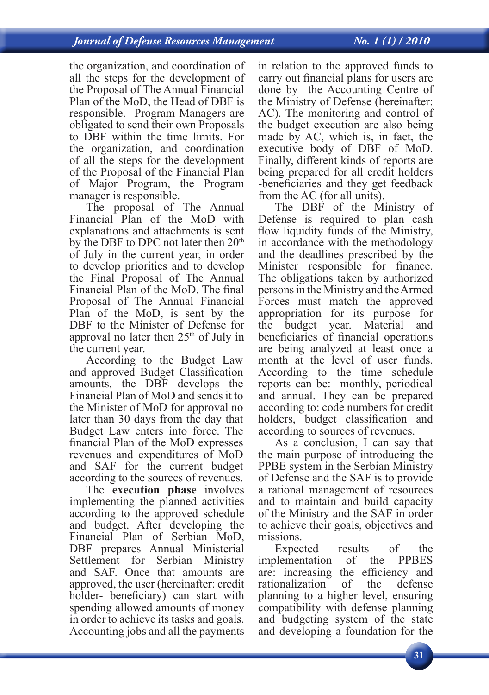## *ITS IMPLEMENTATION IN THE SERBIAN MINISTRY OF DEFENSE Journal of Defense Resources Management No. 1 (1) / 2010*

the organization, and coordination of all the steps for the development of the Proposal of The Annual Financial Plan of the MoD, the Head of DBF is responsible. Program Managers are obligated to send their own Proposals to DBF within the time limits. For the organization, and coordination of all the steps for the development of the Proposal of the Financial Plan of Major Program, the Program manager is responsible.

The proposal of The Annual Financial Plan of the MoD with explanations and attachments is sent by the DBF to DPC not later then 20<sup>th</sup> of July in the current year, in order to develop priorities and to develop the Final Proposal of The Annual Financial Plan of the MoD. The final Proposal of The Annual Financial Plan of the MoD, is sent by the DBF to the Minister of Defense for approval no later then  $25<sup>th</sup>$  of July in the current year.

According to the Budget Law and approved Budget Classification amounts, the DBF develops the Financial Plan of MoD and sends it to the Minister of MoD for approval no later than 30 days from the day that Budget Law enters into force. The financial Plan of the MoD expresses revenues and expenditures of MoD and SAF for the current budget according to the sources of revenues.

The **execution phase** involves implementing the planned activities according to the approved schedule and budget. After developing the Financial Plan of Serbian MoD, DBF prepares Annual Ministerial Settlement for Serbian Ministry and SAF. Once that amounts are approved, the user (hereinafter: credit holder- beneficiary) can start with spending allowed amounts of money in order to achieve its tasks and goals. Accounting jobs and all the payments

in relation to the approved funds to carry out financial plans for users are done by the Accounting Centre of the Ministry of Defense (hereinafter: AC). The monitoring and control of the budget execution are also being made by AC, which is, in fact, the executive body of DBF of MoD. Finally, different kinds of reports are being prepared for all credit holders -beneficiaries and they get feedback from the AC (for all units).

The DBF of the Ministry of Defense is required to plan cash flow liquidity funds of the Ministry, in accordance with the methodology and the deadlines prescribed by the Minister responsible for finance. The obligations taken by authorized persons in the Ministry and the Armed Forces must match the approved appropriation for its purpose for the budget year. Material and beneficiaries of financial operations are being analyzed at least once a month at the level of user funds. According to the time schedule reports can be: monthly, periodical and annual. They can be prepared according to: code numbers for credit holders, budget classification and according to sources of revenues.

As a conclusion, I can say that the main purpose of introducing the PPBE system in the Serbian Ministry of Defense and the SAF is to provide a rational management of resources and to maintain and build capacity of the Ministry and the SAF in order to achieve their goals, objectives and missions.

Expected results of the<br>blementation of the PPBES implementation are: increasing the efficiency and rationalization of the defense planning to a higher level, ensuring compatibility with defense planning and budgeting system of the state and developing a foundation for the